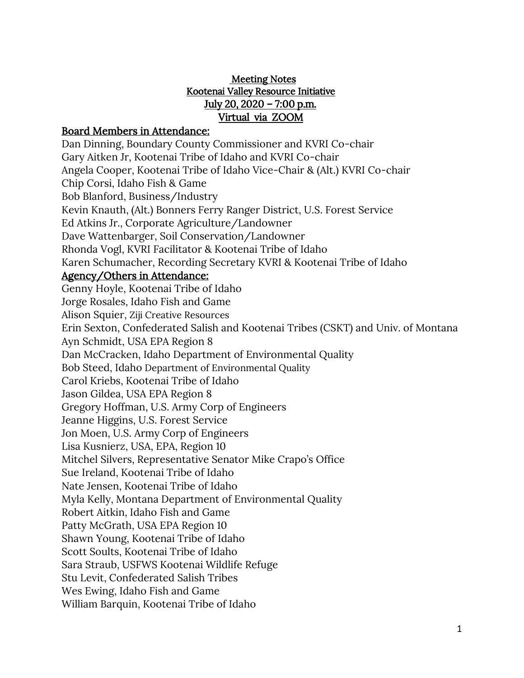## Meeting Notes Kootenai Valley Resource Initiative July 20, 2020 – 7:00 p.m. Virtual via ZOOM

## Board Members in Attendance:

Dan Dinning, Boundary County Commissioner and KVRI Co-chair Gary Aitken Jr, Kootenai Tribe of Idaho and KVRI Co-chair Angela Cooper, Kootenai Tribe of Idaho Vice-Chair & (Alt.) KVRI Co-chair Chip Corsi, Idaho Fish & Game Bob Blanford, Business/Industry Kevin Knauth, (Alt.) Bonners Ferry Ranger District, U.S. Forest Service Ed Atkins Jr., Corporate Agriculture/Landowner Dave Wattenbarger, Soil Conservation/Landowner Rhonda Vogl, KVRI Facilitator & Kootenai Tribe of Idaho Karen Schumacher, Recording Secretary KVRI & Kootenai Tribe of Idaho Agency/Others in Attendance: Genny Hoyle, Kootenai Tribe of Idaho Jorge Rosales, Idaho Fish and Game Alison Squier, Ziji Creative Resources Erin Sexton, Confederated Salish and Kootenai Tribes (CSKT) and Univ. of Montana Ayn Schmidt, USA EPA Region 8 Dan McCracken, Idaho Department of Environmental Quality Bob Steed, Idaho Department of Environmental Quality Carol Kriebs, Kootenai Tribe of Idaho Jason Gildea, USA EPA Region 8 Gregory Hoffman, U.S. Army Corp of Engineers Jeanne Higgins, U.S. Forest Service Jon Moen, U.S. Army Corp of Engineers Lisa Kusnierz, USA, EPA, Region 10 Mitchel Silvers, Representative Senator Mike Crapo's Office Sue Ireland, Kootenai Tribe of Idaho Nate Jensen, Kootenai Tribe of Idaho Myla Kelly, Montana Department of Environmental Quality Robert Aitkin, Idaho Fish and Game Patty McGrath, USA EPA Region 10 Shawn Young, Kootenai Tribe of Idaho Scott Soults, Kootenai Tribe of Idaho Sara Straub, USFWS Kootenai Wildlife Refuge Stu Levit, Confederated Salish Tribes Wes Ewing, Idaho Fish and Game William Barquin, Kootenai Tribe of Idaho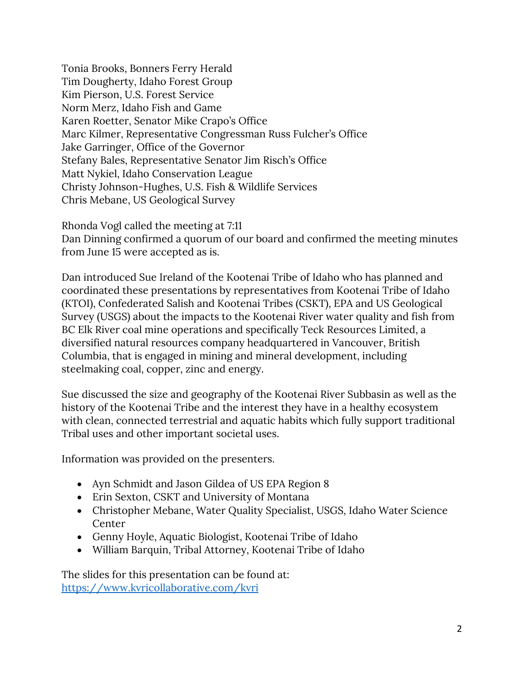Tonia Brooks, Bonners Ferry Herald Tim Dougherty, Idaho Forest Group Kim Pierson, U.S. Forest Service Norm Merz, Idaho Fish and Game Karen Roetter, Senator Mike Crapo's Office Marc Kilmer, Representative Congressman Russ Fulcher's Office Jake Garringer, Office of the Governor Stefany Bales, Representative Senator Jim Risch's Office Matt Nykiel, Idaho Conservation League Christy Johnson-Hughes, U.S. Fish & Wildlife Services Chris Mebane, US Geological Survey

Rhonda Vogl called the meeting at 7:11 Dan Dinning confirmed a quorum of our board and confirmed the meeting minutes from June 15 were accepted as is.

Dan introduced Sue Ireland of the Kootenai Tribe of Idaho who has planned and coordinated these presentations by representatives from Kootenai Tribe of Idaho (KTOI), Confederated Salish and Kootenai Tribes (CSKT), EPA and US Geological Survey (USGS) about the impacts to the Kootenai River water quality and fish from BC Elk River coal mine operations and specifically Teck Resources Limited, a diversified natural resources company headquartered in Vancouver, British Columbia, that is engaged in mining and mineral development, including steelmaking coal, copper, zinc and energy.

Sue discussed the size and geography of the Kootenai River Subbasin as well as the history of the Kootenai Tribe and the interest they have in a healthy ecosystem with clean, connected terrestrial and aquatic habits which fully support traditional Tribal uses and other important societal uses.

Information was provided on the presenters.

- Ayn Schmidt and Jason Gildea of US EPA Region 8
- Erin Sexton, CSKT and University of Montana
- Christopher Mebane, Water Quality Specialist, USGS, Idaho Water Science Center
- Genny Hoyle, Aquatic Biologist, Kootenai Tribe of Idaho
- William Barquin, Tribal Attorney, Kootenai Tribe of Idaho

The slides for this presentation can be found at: <https://www.kvricollaborative.com/kvri>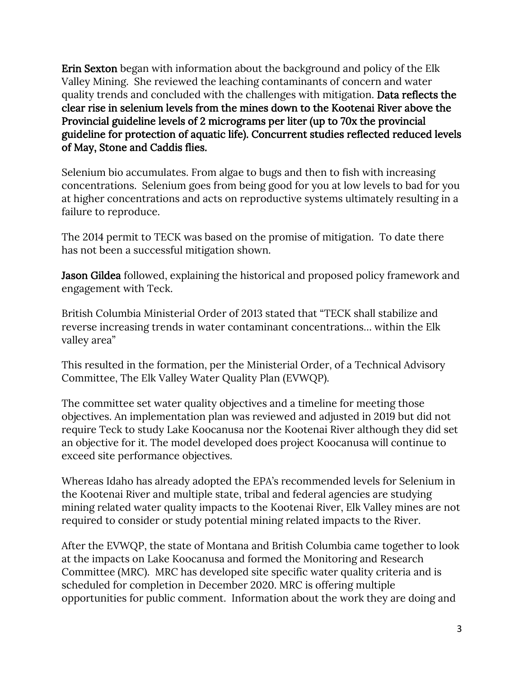Erin Sexton began with information about the background and policy of the Elk Valley Mining. She reviewed the leaching contaminants of concern and water quality trends and concluded with the challenges with mitigation. Data reflects the clear rise in selenium levels from the mines down to the Kootenai River above the Provincial guideline levels of 2 micrograms per liter (up to 70x the provincial guideline for protection of aquatic life). Concurrent studies reflected reduced levels of May, Stone and Caddis flies.

Selenium bio accumulates. From algae to bugs and then to fish with increasing concentrations. Selenium goes from being good for you at low levels to bad for you at higher concentrations and acts on reproductive systems ultimately resulting in a failure to reproduce.

The 2014 permit to TECK was based on the promise of mitigation. To date there has not been a successful mitigation shown.

**Jason Gildea** followed, explaining the historical and proposed policy framework and engagement with Teck.

British Columbia Ministerial Order of 2013 stated that "TECK shall stabilize and reverse increasing trends in water contaminant concentrations… within the Elk valley area"

This resulted in the formation, per the Ministerial Order, of a Technical Advisory Committee, The Elk Valley Water Quality Plan (EVWQP).

The committee set water quality objectives and a timeline for meeting those objectives. An implementation plan was reviewed and adjusted in 2019 but did not require Teck to study Lake Koocanusa nor the Kootenai River although they did set an objective for it. The model developed does project Koocanusa will continue to exceed site performance objectives.

Whereas Idaho has already adopted the EPA's recommended levels for Selenium in the Kootenai River and multiple state, tribal and federal agencies are studying mining related water quality impacts to the Kootenai River, Elk Valley mines are not required to consider or study potential mining related impacts to the River.

After the EVWQP, the state of Montana and British Columbia came together to look at the impacts on Lake Koocanusa and formed the Monitoring and Research Committee (MRC). MRC has developed site specific water quality criteria and is scheduled for completion in December 2020. MRC is offering multiple opportunities for public comment. Information about the work they are doing and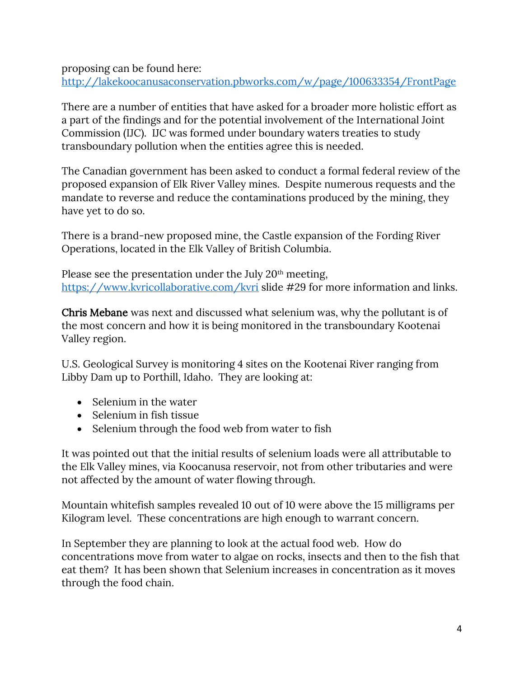proposing can be found here: <http://lakekoocanusaconservation.pbworks.com/w/page/100633354/FrontPage>

There are a number of entities that have asked for a broader more holistic effort as a part of the findings and for the potential involvement of the International Joint Commission (IJC). IJC was formed under boundary waters treaties to study transboundary pollution when the entities agree this is needed.

The Canadian government has been asked to conduct a formal federal review of the proposed expansion of Elk River Valley mines. Despite numerous requests and the mandate to reverse and reduce the contaminations produced by the mining, they have yet to do so.

There is a brand-new proposed mine, the Castle expansion of the Fording River Operations, located in the Elk Valley of British Columbia.

Please see the presentation under the July  $20<sup>th</sup>$  meeting, <https://www.kvricollaborative.com/kvri> slide #29 for more information and links.

Chris Mebane was next and discussed what selenium was, why the pollutant is of the most concern and how it is being monitored in the transboundary Kootenai Valley region.

U.S. Geological Survey is monitoring 4 sites on the Kootenai River ranging from Libby Dam up to Porthill, Idaho. They are looking at:

- Selenium in the water
- Selenium in fish tissue
- Selenium through the food web from water to fish

It was pointed out that the initial results of selenium loads were all attributable to the Elk Valley mines, via Koocanusa reservoir, not from other tributaries and were not affected by the amount of water flowing through.

Mountain whitefish samples revealed 10 out of 10 were above the 15 milligrams per Kilogram level. These concentrations are high enough to warrant concern.

In September they are planning to look at the actual food web. How do concentrations move from water to algae on rocks, insects and then to the fish that eat them? It has been shown that Selenium increases in concentration as it moves through the food chain.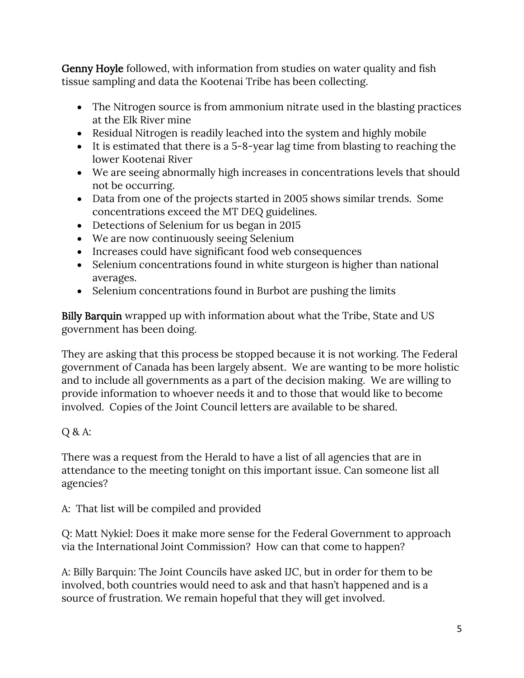Genny Hoyle followed, with information from studies on water quality and fish tissue sampling and data the Kootenai Tribe has been collecting.

- The Nitrogen source is from ammonium nitrate used in the blasting practices at the Elk River mine
- Residual Nitrogen is readily leached into the system and highly mobile
- It is estimated that there is a 5-8-year lag time from blasting to reaching the lower Kootenai River
- We are seeing abnormally high increases in concentrations levels that should not be occurring.
- Data from one of the projects started in 2005 shows similar trends. Some concentrations exceed the MT DEQ guidelines.
- Detections of Selenium for us began in 2015
- We are now continuously seeing Selenium
- Increases could have significant food web consequences
- Selenium concentrations found in white sturgeon is higher than national averages.
- Selenium concentrations found in Burbot are pushing the limits

Billy Barquin wrapped up with information about what the Tribe, State and US government has been doing.

They are asking that this process be stopped because it is not working. The Federal government of Canada has been largely absent. We are wanting to be more holistic and to include all governments as a part of the decision making. We are willing to provide information to whoever needs it and to those that would like to become involved. Copies of the Joint Council letters are available to be shared.

## Q & A:

There was a request from the Herald to have a list of all agencies that are in attendance to the meeting tonight on this important issue. Can someone list all agencies?

A: That list will be compiled and provided

Q: Matt Nykiel: Does it make more sense for the Federal Government to approach via the International Joint Commission? How can that come to happen?

A: Billy Barquin: The Joint Councils have asked IJC, but in order for them to be involved, both countries would need to ask and that hasn't happened and is a source of frustration. We remain hopeful that they will get involved.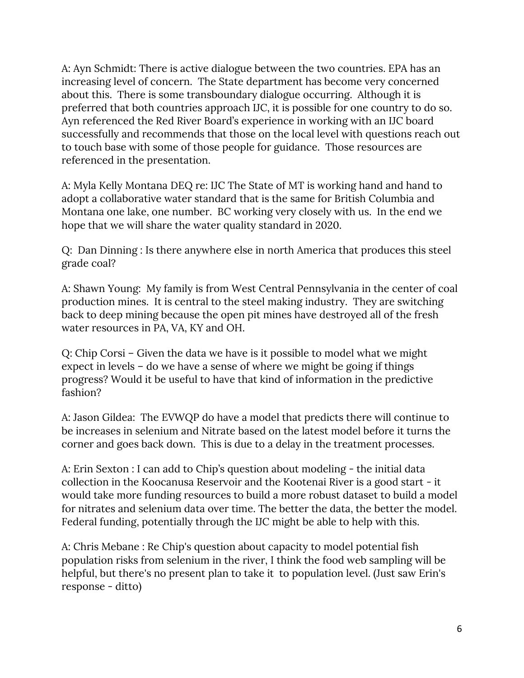A: Ayn Schmidt: There is active dialogue between the two countries. EPA has an increasing level of concern. The State department has become very concerned about this. There is some transboundary dialogue occurring. Although it is preferred that both countries approach IJC, it is possible for one country to do so. Ayn referenced the Red River Board's experience in working with an IJC board successfully and recommends that those on the local level with questions reach out to touch base with some of those people for guidance. Those resources are referenced in the presentation.

A: Myla Kelly Montana DEQ re: IJC The State of MT is working hand and hand to adopt a collaborative water standard that is the same for British Columbia and Montana one lake, one number. BC working very closely with us. In the end we hope that we will share the water quality standard in 2020.

Q: Dan Dinning : Is there anywhere else in north America that produces this steel grade coal?

A: Shawn Young: My family is from West Central Pennsylvania in the center of coal production mines. It is central to the steel making industry. They are switching back to deep mining because the open pit mines have destroyed all of the fresh water resources in PA, VA, KY and OH.

Q: Chip Corsi – Given the data we have is it possible to model what we might expect in levels – do we have a sense of where we might be going if things progress? Would it be useful to have that kind of information in the predictive fashion?

A: Jason Gildea: The EVWQP do have a model that predicts there will continue to be increases in selenium and Nitrate based on the latest model before it turns the corner and goes back down. This is due to a delay in the treatment processes.

A: Erin Sexton : I can add to Chip's question about modeling - the initial data collection in the Koocanusa Reservoir and the Kootenai River is a good start - it would take more funding resources to build a more robust dataset to build a model for nitrates and selenium data over time. The better the data, the better the model. Federal funding, potentially through the IJC might be able to help with this.

A: Chris Mebane : Re Chip's question about capacity to model potential fish population risks from selenium in the river, I think the food web sampling will be helpful, but there's no present plan to take it to population level. (Just saw Erin's response - ditto)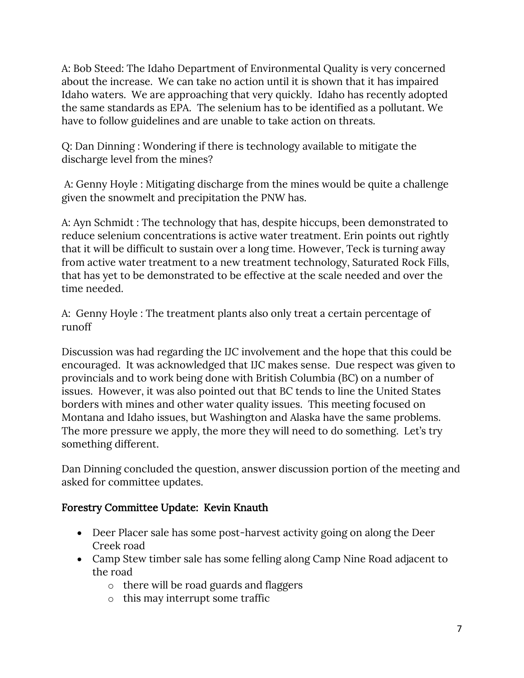A: Bob Steed: The Idaho Department of Environmental Quality is very concerned about the increase. We can take no action until it is shown that it has impaired Idaho waters. We are approaching that very quickly. Idaho has recently adopted the same standards as EPA. The selenium has to be identified as a pollutant. We have to follow guidelines and are unable to take action on threats.

Q: Dan Dinning : Wondering if there is technology available to mitigate the discharge level from the mines?

A: Genny Hoyle : Mitigating discharge from the mines would be quite a challenge given the snowmelt and precipitation the PNW has.

A: Ayn Schmidt : The technology that has, despite hiccups, been demonstrated to reduce selenium concentrations is active water treatment. Erin points out rightly that it will be difficult to sustain over a long time. However, Teck is turning away from active water treatment to a new treatment technology, Saturated Rock Fills, that has yet to be demonstrated to be effective at the scale needed and over the time needed.

A: Genny Hoyle : The treatment plants also only treat a certain percentage of runoff

Discussion was had regarding the IJC involvement and the hope that this could be encouraged. It was acknowledged that IJC makes sense. Due respect was given to provincials and to work being done with British Columbia (BC) on a number of issues. However, it was also pointed out that BC tends to line the United States borders with mines and other water quality issues. This meeting focused on Montana and Idaho issues, but Washington and Alaska have the same problems. The more pressure we apply, the more they will need to do something. Let's try something different.

Dan Dinning concluded the question, answer discussion portion of the meeting and asked for committee updates.

## Forestry Committee Update: Kevin Knauth

- Deer Placer sale has some post-harvest activity going on along the Deer Creek road
- Camp Stew timber sale has some felling along Camp Nine Road adjacent to the road
	- o there will be road guards and flaggers
	- o this may interrupt some traffic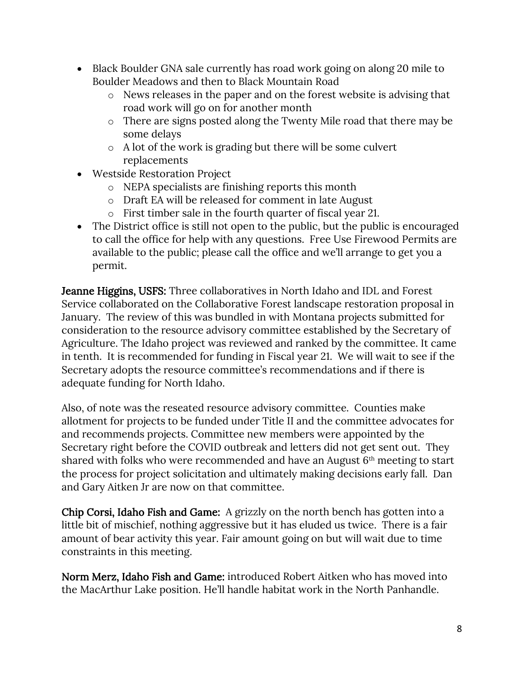- Black Boulder GNA sale currently has road work going on along 20 mile to Boulder Meadows and then to Black Mountain Road
	- o News releases in the paper and on the forest website is advising that road work will go on for another month
	- o There are signs posted along the Twenty Mile road that there may be some delays
	- o A lot of the work is grading but there will be some culvert replacements
- Westside Restoration Project
	- o NEPA specialists are finishing reports this month
	- o Draft EA will be released for comment in late August
	- o First timber sale in the fourth quarter of fiscal year 21.
- The District office is still not open to the public, but the public is encouraged to call the office for help with any questions. Free Use Firewood Permits are available to the public; please call the office and we'll arrange to get you a permit.

**Jeanne Higgins, USFS:** Three collaboratives in North Idaho and IDL and Forest Service collaborated on the Collaborative Forest landscape restoration proposal in January. The review of this was bundled in with Montana projects submitted for consideration to the resource advisory committee established by the Secretary of Agriculture. The Idaho project was reviewed and ranked by the committee. It came in tenth. It is recommended for funding in Fiscal year 21. We will wait to see if the Secretary adopts the resource committee's recommendations and if there is adequate funding for North Idaho.

Also, of note was the reseated resource advisory committee. Counties make allotment for projects to be funded under Title II and the committee advocates for and recommends projects. Committee new members were appointed by the Secretary right before the COVID outbreak and letters did not get sent out. They shared with folks who were recommended and have an August  $6<sup>th</sup>$  meeting to start the process for project solicitation and ultimately making decisions early fall. Dan and Gary Aitken Jr are now on that committee.

Chip Corsi, Idaho Fish and Game: A grizzly on the north bench has gotten into a little bit of mischief, nothing aggressive but it has eluded us twice. There is a fair amount of bear activity this year. Fair amount going on but will wait due to time constraints in this meeting.

Norm Merz, Idaho Fish and Game: introduced Robert Aitken who has moved into the MacArthur Lake position. He'll handle habitat work in the North Panhandle.